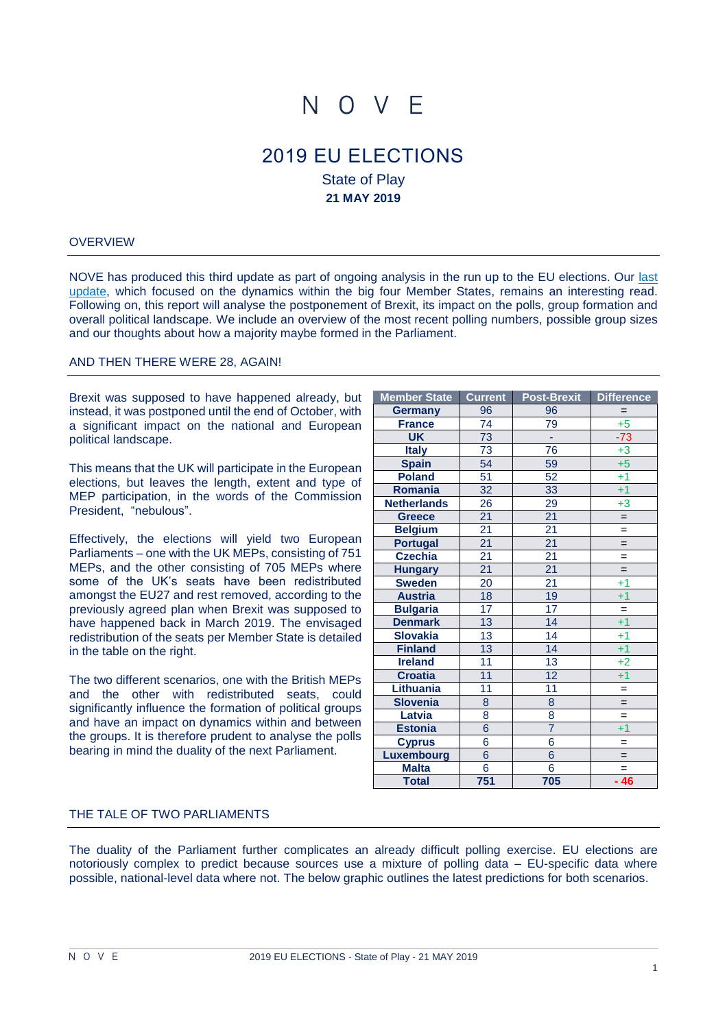# N O V F

# 2019 EU ELECTIONS State of Play **21 MAY 2019**

#### **OVERVIEW**

NOVE has produced this third update as part of ongoing analysis in the run up to the EU elections. Our [last](https://nove.eu/news/noves-monthly-update-on-the-eu-elections-is-ready-for-download/) [update,](https://nove.eu/news/noves-monthly-update-on-the-eu-elections-is-ready-for-download/) which focused on the dynamics within the big four Member States, remains an interesting read. Following on, this report will analyse the postponement of Brexit, its impact on the polls, group formation and overall political landscape. We include an overview of the most recent polling numbers, possible group sizes and our thoughts about how a majority maybe formed in the Parliament.

#### AND THEN THERE WERE 28, AGAIN!

Brexit was supposed to have happened already, but instead, it was postponed until the end of October, with a significant impact on the national and European political landscape.

This means that the UK will participate in the European elections, but leaves the length, extent and type of MEP participation, in the words of the Commission President, "nebulous".

Effectively, the elections will yield two European Parliaments – one with the UK MEPs, consisting of 751 MEPs, and the other consisting of 705 MEPs where some of the UK's seats have been redistributed amongst the EU27 and rest removed, according to the previously agreed plan when Brexit was supposed to have happened back in March 2019. The envisaged redistribution of the seats per Member State is detailed in the table on the right.

The two different scenarios, one with the British MEPs and the other with redistributed seats, could significantly influence the formation of political groups and have an impact on dynamics within and between the groups. It is therefore prudent to analyse the polls bearing in mind the duality of the next Parliament.

| <b>Member State</b> | <b>Current</b>  | Post-Brexit     | <b>Difference</b> |  |
|---------------------|-----------------|-----------------|-------------------|--|
| <b>Germany</b>      | 96              | 96              | $=$               |  |
| <b>France</b>       | 74              | 79              | $+5$              |  |
| <b>UK</b>           | 73              | Ξ               | $-73$             |  |
| <b>Italy</b>        | 73              | 76              | $+3$              |  |
| <b>Spain</b>        | 54              | 59              | $+5$              |  |
| <b>Poland</b>       | $\overline{51}$ | $\overline{52}$ | $+1$              |  |
| Romania             | 32              | 33              | $+1$              |  |
| <b>Netherlands</b>  | 26              | 29              | $+3$              |  |
| <b>Greece</b>       | $\overline{21}$ | $\overline{21}$ | $\qquad \qquad =$ |  |
| <b>Belgium</b>      | $\overline{21}$ | $\overline{21}$ | $=$               |  |
| <b>Portugal</b>     | $\overline{21}$ | $\overline{21}$ | $=$               |  |
| <b>Czechia</b>      | $\overline{21}$ | $\overline{21}$ | $=$               |  |
| <b>Hungary</b>      | $\overline{21}$ | $\overline{21}$ | $=$               |  |
| <b>Sweden</b>       | $\overline{20}$ | $\overline{21}$ | $+1$              |  |
| <b>Austria</b>      | 18              | 19              | $+1$              |  |
| <b>Bulgaria</b>     | 17              | 17              | $=$               |  |
| <b>Denmark</b>      | 13              | 14              | $+1$              |  |
| <b>Slovakia</b>     | 13              | 14              | $+1$              |  |
| <b>Finland</b>      | 13              | 14              | $+1$              |  |
| <b>Ireland</b>      | $\overline{11}$ | 13              | $+2$              |  |
| <b>Croatia</b>      | $\overline{11}$ | 12              | $+1$              |  |
| Lithuania           | $\overline{11}$ | $\overline{11}$ | $\qquad \qquad =$ |  |
| <b>Slovenia</b>     | 8               | $\overline{8}$  | $=$               |  |
| Latvia              | $\overline{8}$  | 8               | $=$               |  |
| <b>Estonia</b>      | $\overline{6}$  | $\overline{7}$  | $+1$              |  |
| <b>Cyprus</b>       | $\overline{6}$  | 6               | $=$               |  |
| Luxembourg          | $\overline{6}$  | $\overline{6}$  | $=$               |  |
| <b>Malta</b>        | 6               | 6               | $=$               |  |
| <b>Total</b>        | 751             | 705             | $-46$             |  |

#### THE TALE OF TWO PARLIAMENTS

The duality of the Parliament further complicates an already difficult polling exercise. EU elections are notoriously complex to predict because sources use a mixture of polling data – EU-specific data where possible, national-level data where not. The below graphic outlines the latest predictions for both scenarios.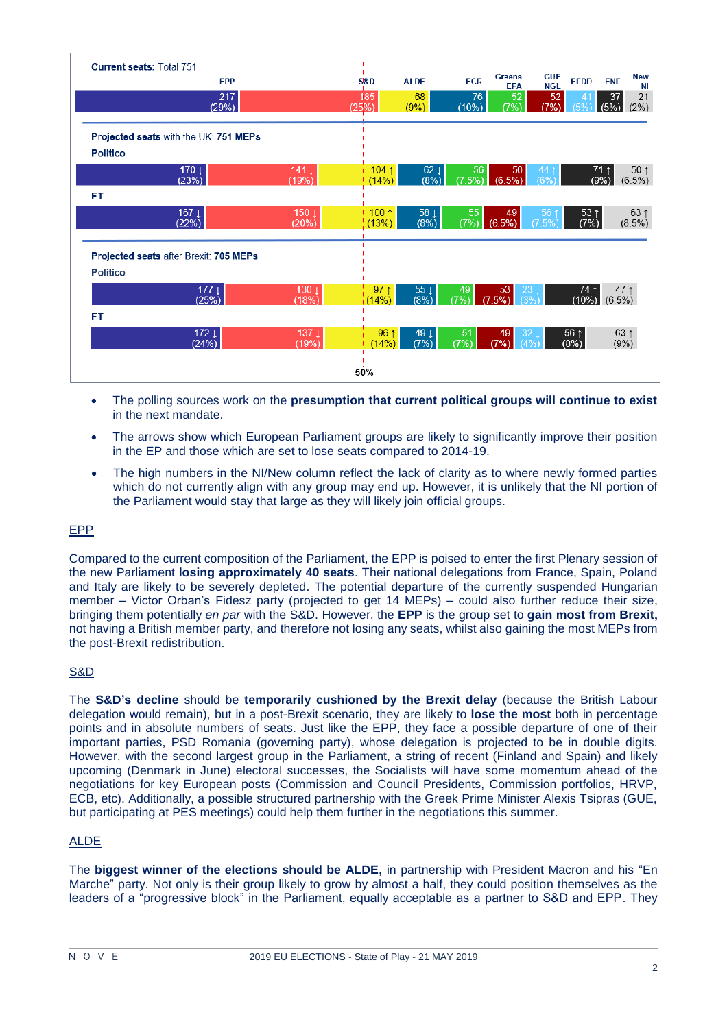| <b>Current seats: Total 751</b> |                                        |                           |                                  |                            |              |                                      |                          |                                     |                                |
|---------------------------------|----------------------------------------|---------------------------|----------------------------------|----------------------------|--------------|--------------------------------------|--------------------------|-------------------------------------|--------------------------------|
|                                 | <b>EPP</b>                             |                           | S&D                              | <b>ALDE</b>                | <b>ECR</b>   | <b>Greens</b><br><b>EFA</b>          | <b>GUE</b><br><b>NGL</b> | <b>EFDD</b>                         | <b>New</b><br><b>ENF</b><br>ΝI |
|                                 | 217<br>(29%)                           |                           | 185<br>(25%)                     | 68<br>(9%)                 | 76<br>(10%)  | 52<br>(7%)                           | 52<br>(7%)               | 41<br>(5%                           | 21<br>37<br>(5%)<br>(2%)       |
|                                 |                                        |                           |                                  |                            |              |                                      |                          |                                     |                                |
|                                 | Projected seats with the UK: 751 MEPs  |                           |                                  |                            |              |                                      |                          |                                     |                                |
| <b>Politico</b>                 |                                        |                           |                                  |                            |              |                                      |                          |                                     |                                |
|                                 | 170 $\downarrow$<br>(23%)              | 144 $\perp$<br>(19%)      | $104 \text{ } \uparrow$<br>(14%) | $62 \perp$<br>(8%)         | 56<br>(7.5%) | 50 <sup>°</sup><br>(6.5%)            | 44<br>(6%                | $71$ ↑<br>(9%)                      | 50 <sub>1</sub><br>$(6.5\%)$   |
| FT.                             |                                        |                           |                                  |                            |              |                                      |                          |                                     |                                |
|                                 | 167 $\perp$<br>(22%)                   | 150 ↓<br>(20%)            | $1100 \uparrow$<br>(13%)         | $58+$<br>(8%)              | 55<br>(7%)   | 49<br>(6.5%)                         | 56<br>(7.5%              | $53 \uparrow$<br>(7%)               | $63 \uparrow$<br>(8.5%)        |
|                                 |                                        |                           |                                  |                            |              |                                      |                          |                                     |                                |
|                                 | Projected seats after Brexit: 705 MEPs |                           |                                  |                            |              |                                      |                          |                                     |                                |
| <b>Politico</b>                 |                                        |                           |                                  |                            |              |                                      |                          |                                     |                                |
|                                 | 177 <sub>1</sub><br>(25%)              | 130 <sub>1</sub><br>(18%) | $97 \uparrow$<br>(14%)           | 55 $\downarrow$<br>$(8\%)$ | 49<br>(7%)   | 53<br>23<br>(7.5%)<br>(3%            |                          | $74 \uparrow$<br>$(10\%)$ $(6.5\%)$ | 47 ↑                           |
| FT                              |                                        |                           |                                  |                            |              |                                      |                          |                                     |                                |
|                                 | $172 \perp$<br>(24%)                   | 137 <sub>1</sub><br>(19%) | 96 1<br>(14%)                    | 49↓<br>(7%)                | 51<br>(7%)   | 32 <sub>1</sub><br>49<br>(7%)<br>(4% |                          | 56 1<br>$(8\%)$                     | $63 \uparrow$<br>$(9\%)$       |
| 50%                             |                                        |                           |                                  |                            |              |                                      |                          |                                     |                                |

- The polling sources work on the **presumption that current political groups will continue to exist** in the next mandate.
- The arrows show which European Parliament groups are likely to significantly improve their position in the EP and those which are set to lose seats compared to 2014-19.
- The high numbers in the NI/New column reflect the lack of clarity as to where newly formed parties which do not currently align with any group may end up. However, it is unlikely that the NI portion of the Parliament would stay that large as they will likely join official groups.

# EPP

Compared to the current composition of the Parliament, the EPP is poised to enter the first Plenary session of the new Parliament **losing approximately 40 seats**. Their national delegations from France, Spain, Poland and Italy are likely to be severely depleted. The potential departure of the currently suspended Hungarian member – Victor Orban's Fidesz party (projected to get 14 MEPs) – could also further reduce their size, bringing them potentially *en par* with the S&D. However, the **EPP** is the group set to **gain most from Brexit,** not having a British member party, and therefore not losing any seats, whilst also gaining the most MEPs from the post-Brexit redistribution.

# S&D

The **S&D's decline** should be **temporarily cushioned by the Brexit delay** (because the British Labour delegation would remain), but in a post-Brexit scenario, they are likely to **lose the most** both in percentage points and in absolute numbers of seats. Just like the EPP, they face a possible departure of one of their important parties, PSD Romania (governing party), whose delegation is projected to be in double digits. However, with the second largest group in the Parliament, a string of recent (Finland and Spain) and likely upcoming (Denmark in June) electoral successes, the Socialists will have some momentum ahead of the negotiations for key European posts (Commission and Council Presidents, Commission portfolios, HRVP, ECB, etc). Additionally, a possible structured partnership with the Greek Prime Minister Alexis Tsipras (GUE, but participating at PES meetings) could help them further in the negotiations this summer.

# ALDE

The **biggest winner of the elections should be ALDE,** in partnership with President Macron and his "En Marche" party. Not only is their group likely to grow by almost a half, they could position themselves as the leaders of a "progressive block" in the Parliament, equally acceptable as a partner to S&D and EPP. They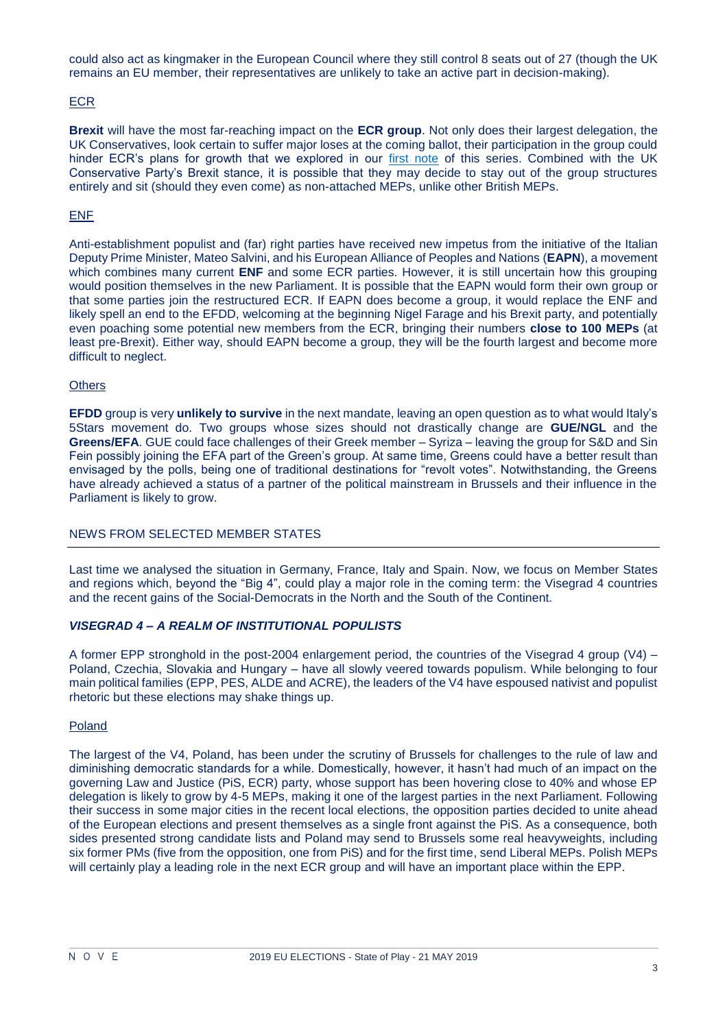could also act as kingmaker in the European Council where they still control 8 seats out of 27 (though the UK remains an EU member, their representatives are unlikely to take an active part in decision-making).

# ECR

**Brexit** will have the most far-reaching impact on the **ECR group**. Not only does their largest delegation, the UK Conservatives, look certain to suffer major loses at the coming ballot, their participation in the group could hinder ECR's plans for growth that we explored in our [first note](https://nove.eu/wp-content/uploads/2019/01/NOVE-note-on-EU-Elections_Jan19.pdf) of this series. Combined with the UK Conservative Party's Brexit stance, it is possible that they may decide to stay out of the group structures entirely and sit (should they even come) as non-attached MEPs, unlike other British MEPs.

# ENF

Anti-establishment populist and (far) right parties have received new impetus from the initiative of the Italian Deputy Prime Minister, Mateo Salvini, and his European Alliance of Peoples and Nations (**EAPN**), a movement which combines many current **ENF** and some ECR parties. However, it is still uncertain how this grouping would position themselves in the new Parliament. It is possible that the EAPN would form their own group or that some parties join the restructured ECR. If EAPN does become a group, it would replace the ENF and likely spell an end to the EFDD, welcoming at the beginning Nigel Farage and his Brexit party, and potentially even poaching some potential new members from the ECR, bringing their numbers **close to 100 MEPs** (at least pre-Brexit). Either way, should EAPN become a group, they will be the fourth largest and become more difficult to neglect.

#### **Others**

**EFDD** group is very **unlikely to survive** in the next mandate, leaving an open question as to what would Italy's 5Stars movement do. Two groups whose sizes should not drastically change are **GUE/NGL** and the **Greens/EFA**. GUE could face challenges of their Greek member – Syriza – leaving the group for S&D and Sin Fein possibly joining the EFA part of the Green's group. At same time, Greens could have a better result than envisaged by the polls, being one of traditional destinations for "revolt votes". Notwithstanding, the Greens have already achieved a status of a partner of the political mainstream in Brussels and their influence in the Parliament is likely to grow.

# NEWS FROM SELECTED MEMBER STATES

Last time we analysed the situation in Germany, France, Italy and Spain. Now, we focus on Member States and regions which, beyond the "Big 4", could play a major role in the coming term: the Visegrad 4 countries and the recent gains of the Social-Democrats in the North and the South of the Continent.

# *VISEGRAD 4 – A REALM OF INSTITUTIONAL POPULISTS*

A former EPP stronghold in the post-2004 enlargement period, the countries of the Visegrad 4 group (V4) – Poland, Czechia, Slovakia and Hungary – have all slowly veered towards populism. While belonging to four main political families (EPP, PES, ALDE and ACRE), the leaders of the V4 have espoused nativist and populist rhetoric but these elections may shake things up.

#### Poland

The largest of the V4, Poland, has been under the scrutiny of Brussels for challenges to the rule of law and diminishing democratic standards for a while. Domestically, however, it hasn't had much of an impact on the governing Law and Justice (PiS, ECR) party, whose support has been hovering close to 40% and whose EP delegation is likely to grow by 4-5 MEPs, making it one of the largest parties in the next Parliament. Following their success in some major cities in the recent local elections, the opposition parties decided to unite ahead of the European elections and present themselves as a single front against the PiS. As a consequence, both sides presented strong candidate lists and Poland may send to Brussels some real heavyweights, including six former PMs (five from the opposition, one from PiS) and for the first time, send Liberal MEPs. Polish MEPs will certainly play a leading role in the next ECR group and will have an important place within the EPP.